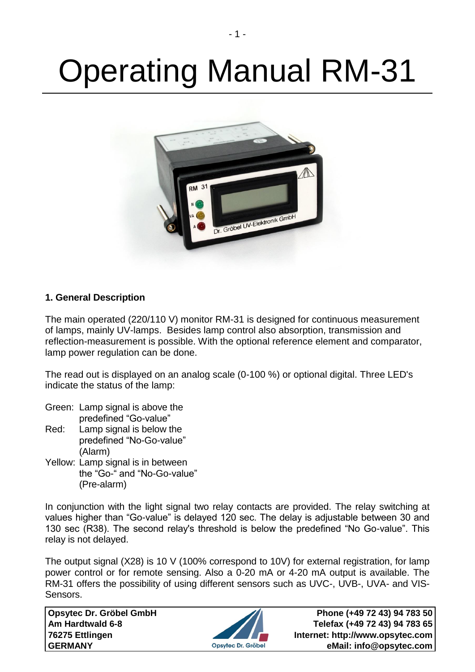# Operating Manual RM-31



#### **1. General Description**

The main operated (220/110 V) monitor RM-31 is designed for continuous measurement of lamps, mainly UV-lamps. Besides lamp control also absorption, transmission and reflection-measurement is possible. With the optional reference element and comparator, lamp power regulation can be done.

The read out is displayed on an analog scale (0-100 %) or optional digital. Three LED's indicate the status of the lamp:

Green: Lamp signal is above the predefined "Go-value"

- Red: Lamp signal is below the predefined "No-Go-value" (Alarm)
- Yellow: Lamp signal is in between the "Go-" and "No-Go-value" (Pre-alarm)

In conjunction with the light signal two relay contacts are provided. The relay switching at values higher than "Go-value" is delayed 120 sec. The delay is adjustable between 30 and 130 sec (R38). The second relay's threshold is below the predefined "No Go-value". This relay is not delayed.

The output signal (X28) is 10 V (100% correspond to 10V) for external registration, for lamp power control or for remote sensing. Also a 0-20 mA or 4-20 mA output is available. The RM-31 offers the possibility of using different sensors such as UVC-, UVB-, UVA- and VIS-Sensors.

**Opsytec Dr. Gröbel GmbH Am Hardtwald 6-8 76275 Ettlingen GERMANY**

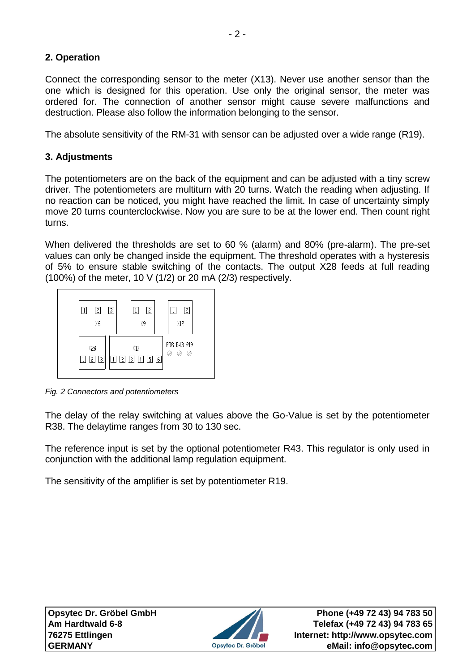## **2. Operation**

Connect the corresponding sensor to the meter (X13). Never use another sensor than the one which is designed for this operation. Use only the original sensor, the meter was ordered for. The connection of another sensor might cause severe malfunctions and destruction. Please also follow the information belonging to the sensor.

The absolute sensitivity of the RM-31 with sensor can be adjusted over a wide range (R19).

# **3. Adjustments**

The potentiometers are on the back of the equipment and can be adjusted with a tiny screw driver. The potentiometers are multiturn with 20 turns. Watch the reading when adjusting. If no reaction can be noticed, you might have reached the limit. In case of uncertainty simply move 20 turns counterclockwise. Now you are sure to be at the lower end. Then count right turns.

When delivered the thresholds are set to 60 % (alarm) and 80% (pre-alarm). The pre-set values can only be changed inside the equipment. The threshold operates with a hysteresis of 5% to ensure stable switching of the contacts. The output X28 feeds at full reading (100%) of the meter, 10 V (1/2) or 20 mA (2/3) respectively.



*Fig. 2 Connectors and potentiometers*

The delay of the relay switching at values above the Go-Value is set by the potentiometer R38. The delaytime ranges from 30 to 130 sec.

The reference input is set by the optional potentiometer R43. This regulator is only used in conjunction with the additional lamp regulation equipment.

The sensitivity of the amplifier is set by potentiometer R19.

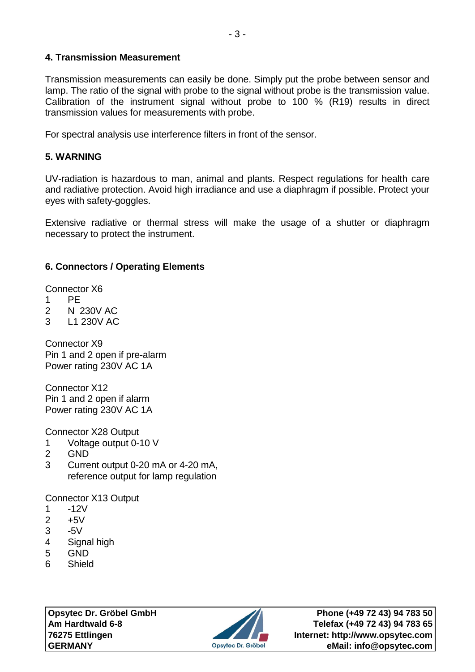### **4. Transmission Measurement**

Transmission measurements can easily be done. Simply put the probe between sensor and lamp. The ratio of the signal with probe to the signal without probe is the transmission value. Calibration of the instrument signal without probe to 100 % (R19) results in direct transmission values for measurements with probe.

For spectral analysis use interference filters in front of the sensor.

## **5. WARNING**

UV-radiation is hazardous to man, animal and plants. Respect regulations for health care and radiative protection. Avoid high irradiance and use a diaphragm if possible. Protect your eyes with safety-goggles.

Extensive radiative or thermal stress will make the usage of a shutter or diaphragm necessary to protect the instrument.

## **6. Connectors / Operating Elements**

Connector X6

- 1 PE
- 2 N 230V AC
- 3 L1 230V AC

Connector X9 Pin 1 and 2 open if pre-alarm Power rating 230V AC 1A

Connector X12 Pin 1 and 2 open if alarm Power rating 230V AC 1A

Connector X28 Output

- 1 Voltage output 0-10 V
- 2 GND
- 3 Current output 0-20 mA or 4-20 mA, reference output for lamp regulation

Connector X13 Output

- 1 -12V
- 2 +5V
- 3 -5V
- 4 Signal high
- 5 GND
- 6 Shield

**Opsytec Dr. Gröbel GmbH Am Hardtwald 6-8 76275 Ettlingen GERMANY**

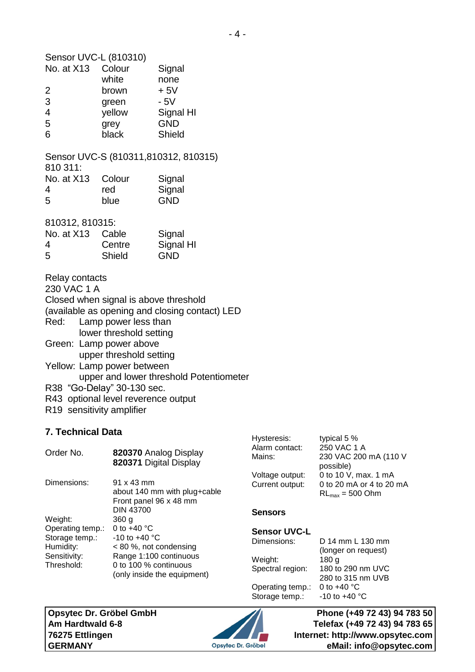Sensor UVC-L (810310) No. at X13 Colour Signal<br>white none none 2 brown + 5V 3 green - 5V 4 yellow Signal HI 5 grey GND 6 black Shield Sensor UVC-S (810311,810312, 810315) 810 311: No. at X13 Colour Signal 4 red Signal 5 blue GND 810312, 810315: No. at X13 Cable Signal 4 Centre Signal HI 5 Shield GND Relay contacts 230 VAC 1 A Closed when signal is above threshold (available as opening and closing contact) LED Red: Lamp power less than lower threshold setting Green: Lamp power above upper threshold setting Yellow: Lamp power between upper and lower threshold Potentiometer R38 "Go-Delay" 30-130 sec.

- R43 optional level reverence output
- R19 sensitivity amplifier

#### **7. Technical Data**

| Order No.                                                                     | 820370 Analog Display<br>820371 Digital Display                                                                                                    | Alarm contact:<br>Mains:                                          | 250 VAC 1 A<br>230 VAC 200 mA (110 V<br>possible)                                          |
|-------------------------------------------------------------------------------|----------------------------------------------------------------------------------------------------------------------------------------------------|-------------------------------------------------------------------|--------------------------------------------------------------------------------------------|
| Dimensions:                                                                   | $91 \times 43$ mm<br>about 140 mm with plug+cable<br>Front panel 96 x 48 mm                                                                        | Voltage output:<br>Current output:                                | 0 to 10 V, max. 1 mA<br>0 to 20 mA or 4 to 20 mA<br>$RL_{max} = 500$ Ohm                   |
| Weight:                                                                       | <b>DIN 43700</b><br>360 <sub>q</sub>                                                                                                               | <b>Sensors</b>                                                    |                                                                                            |
| Operating temp.:<br>Storage temp.:<br>Humidity:<br>Sensitivity:<br>Threshold: | 0 to $+40$ °C<br>$-10$ to $+40$ °C<br>$< 80$ %, not condensing<br>Range 1:100 continuous<br>0 to 100 $%$ continuous<br>(only inside the equipment) | <b>Sensor UVC-L</b><br>Dimensions:<br>Weight:<br>Spectral region: | D 14 mm L 130 mm<br>(longer on request)<br>180 a<br>180 to 290 nm UVC<br>280 to 315 nm UVB |
|                                                                               |                                                                                                                                                    | Operating temp.:<br>Storage temp.:                                | 0 to $+40$ °C<br>$-10$ to $+40$ °C                                                         |

Opsytec Dr. Gröbel

Hysteresis: typical 5 %

**Opsytec Dr. Gröbel GmbH Am Hardtwald 6-8 76275 Ettlingen GERMANY**